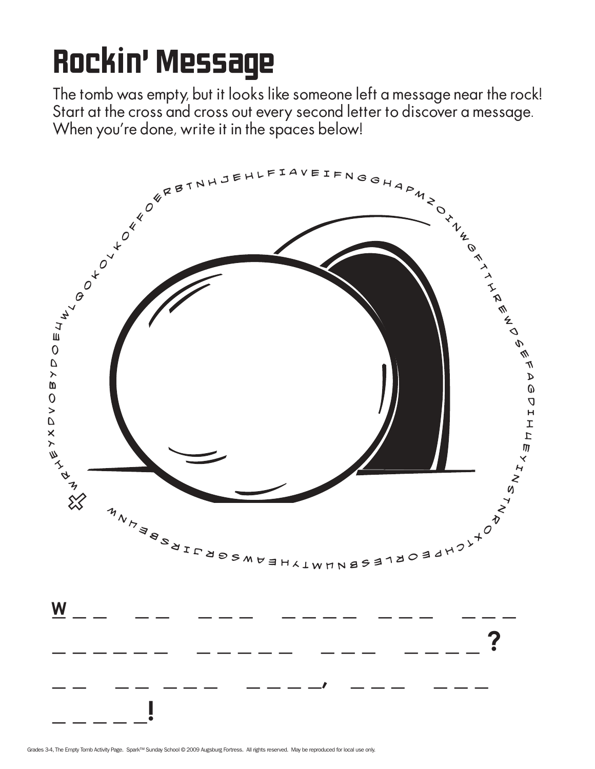## Rockin' Message

The tomb was empty, but it looks like someone left a message near the rock! Start at the cross and cross out every second letter to discover a message. When you're done, write it in the spaces below!